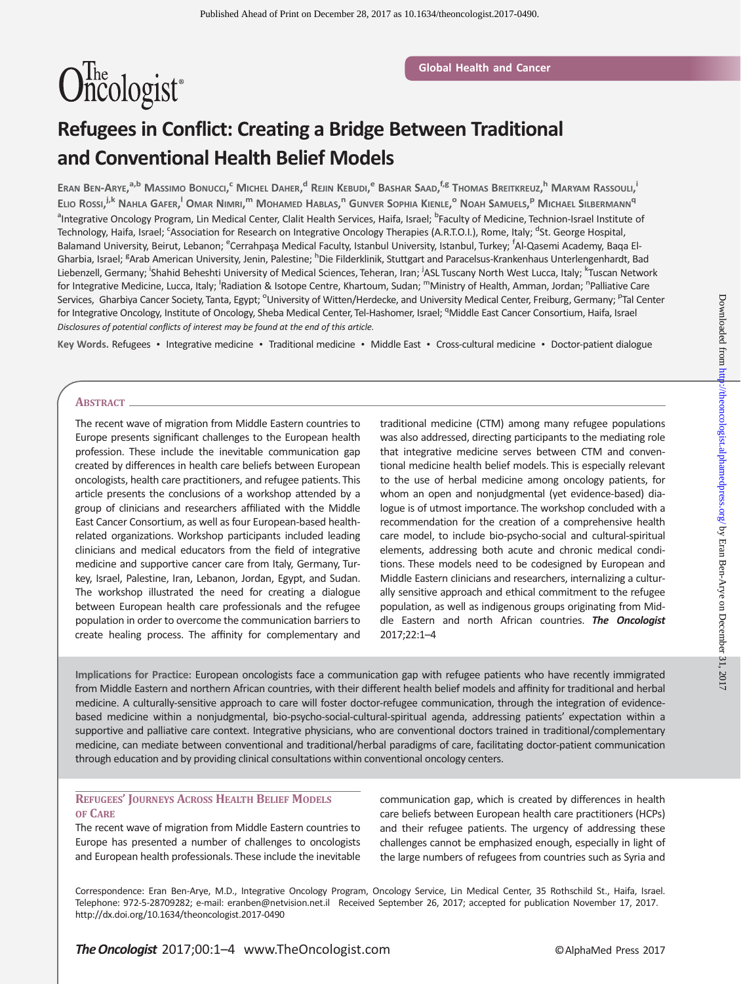# Oncologist<sup>®</sup>

# Refugees in Conflict: Creating a Bridge Between Traditional and Conventional Health Belief Models

Eran Ben-Arye,<sup>a,b</sup> Massimo Bonucci,<sup>c</sup> Michel Daher,<sup>d</sup> Rejin Kebudi,<sup>e</sup> Bashar Saad,<sup>f,e</sup> Thomas Breitkreuz,<sup>h</sup> Maryam Rassouli, Elio Rossi,<sup>j,k</sup> Nahla Gafer,<sup>1</sup> Omar Nimri,<sup>m</sup> Mohamed Hablas,<sup>n</sup> Gunver Sophia Kienle,<sup>o</sup> Noah Samuels,<sup>p</sup> Michael Silbermann<sup>q</sup> <sup>a</sup>Integrative Oncology Program, Lin Medical Center, Clalit Health Services, Haifa, Israel; <sup>b</sup>Faculty of Medicine, Technion-Israel Institute of Technology, Haifa, Israel; <sup>c</sup>Association for Research on Integrative Oncology Therapies (A.R.T.O.I.), Rome, Italy; <sup>d</sup>St. George Hospital, Balamand University, Beirut, Lebanon; <sup>e</sup>Cerrahpaşa Medical Faculty, Istanbul University, Istanbul, Turkey; <sup>f</sup>Al-Qasemi Academy, Baqa El-Gharbia, Israel; <sup>g</sup>Arab American University, Jenin, Palestine; <sup>h</sup>Die Filderklinik, Stuttgart and Paracelsus-Krankenhaus Unterlengenhardt, Bad Liebenzell, Germany; <sup>i</sup>Shahid Beheshti University of Medical Sciences, Teheran, Iran; <sup>j</sup>ASL Tuscany North West Lucca, Italy; <sup>k</sup>Tuscan Network for Integrative Medicine, Lucca, Italy; <sup>I</sup>Radiation & Isotope Centre, Khartoum, Sudan; <sup>m</sup>Ministry of Health, Amman, Jordan; <sup>n</sup>Palliative Care Services, Gharbiya Cancer Society, Tanta, Egypt; <sup>o</sup>University of Witten/Herdecke, and University Medical Center, Freiburg, Germany; <sup>p</sup>Tal Center for Integrative Oncology, Institute of Oncology, Sheba Medical Center, Tel-Hashomer, Israel; <sup>q</sup>Middle East Cancer Consortium, Haifa, Israel Disclosures of potential conflicts of interest may be found at the end of this article.

Key Words. Refugees • Integrative medicine • Traditional medicine • Middle East • Cross-cultural medicine • Doctor-patient dialogue

#### ABSTRACT.

The recent wave of migration from Middle Eastern countries to Europe presents significant challenges to the European health profession. These include the inevitable communication gap created by differences in health care beliefs between European oncologists, health care practitioners, and refugee patients. This article presents the conclusions of a workshop attended by a group of clinicians and researchers affiliated with the Middle East Cancer Consortium, as well as four European-based healthrelated organizations. Workshop participants included leading clinicians and medical educators from the field of integrative medicine and supportive cancer care from Italy, Germany, Turkey, Israel, Palestine, Iran, Lebanon, Jordan, Egypt, and Sudan. The workshop illustrated the need for creating a dialogue between European health care professionals and the refugee population in order to overcome the communication barriers to create healing process. The affinity for complementary and

traditional medicine (CTM) among many refugee populations was also addressed, directing participants to the mediating role that integrative medicine serves between CTM and conventional medicine health belief models. This is especially relevant to the use of herbal medicine among oncology patients, for whom an open and nonjudgmental (yet evidence-based) dialogue is of utmost importance. The workshop concluded with a recommendation for the creation of a comprehensive health care model, to include bio-psycho-social and cultural-spiritual elements, addressing both acute and chronic medical conditions. These models need to be codesigned by European and Middle Eastern clinicians and researchers, internalizing a culturally sensitive approach and ethical commitment to the refugee population, as well as indigenous groups originating from Middle Eastern and north African countries. The Oncologist 2017;22:1–4

Implications for Practice: European oncologists face a communication gap with refugee patients who have recently immigrated from Middle Eastern and northern African countries, with their different health belief models and affinity for traditional and herbal medicine. A culturally-sensitive approach to care will foster doctor-refugee communication, through the integration of evidencebased medicine within a nonjudgmental, bio-psycho-social-cultural-spiritual agenda, addressing patients' expectation within a supportive and palliative care context. Integrative physicians, who are conventional doctors trained in traditional/complementary medicine, can mediate between conventional and traditional/herbal paradigms of care, facilitating doctor-patient communication through education and by providing clinical consultations within conventional oncology centers.

# REFUGEES' JOURNEYS ACROSS HEALTH BELIEF MODELS OF CARE

The recent wave of migration from Middle Eastern countries to Europe has presented a number of challenges to oncologists and European health professionals. These include the inevitable communication gap, which is created by differences in health care beliefs between European health care practitioners (HCPs) and their refugee patients. The urgency of addressing these challenges cannot be emphasized enough, especially in light of the large numbers of refugees from countries such as Syria and

Correspondence: Eran Ben-Arye, M.D., Integrative Oncology Program, Oncology Service, Lin Medical Center, 35 Rothschild St., Haifa, Israel. Telephone: 972-5-28709282; e-mail: eranben@netvision.net.il Received September 26, 2017; accepted for publication November 17, 2017. http://dx.doi.org/10.1634/theoncologist.2017-0490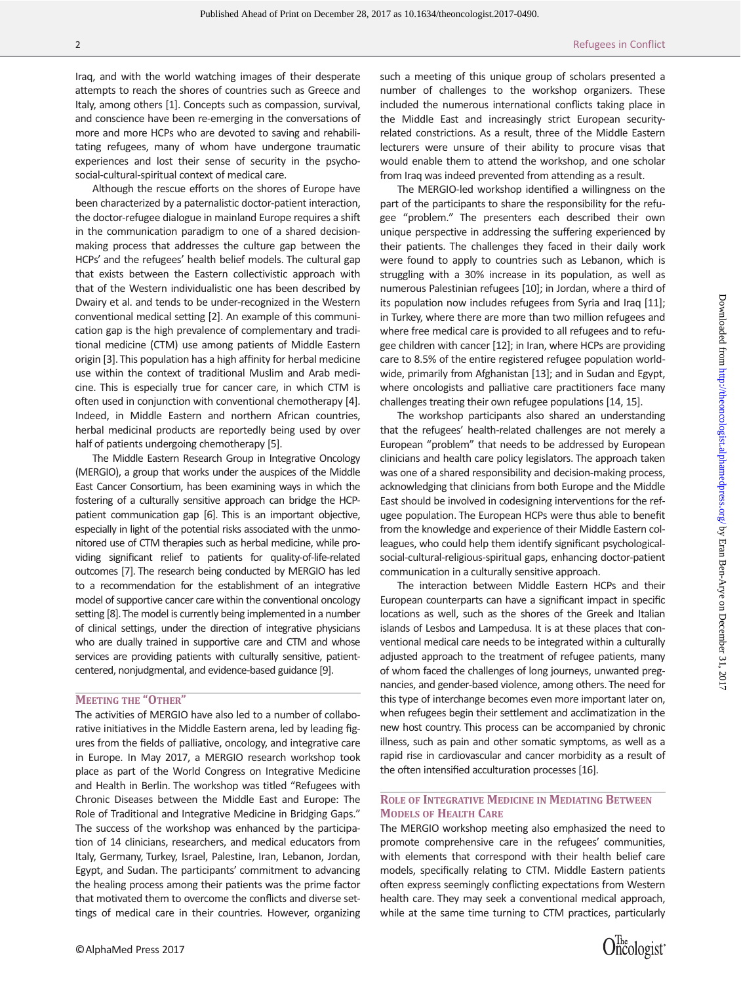Iraq, and with the world watching images of their desperate attempts to reach the shores of countries such as Greece and Italy, among others [1]. Concepts such as compassion, survival, and conscience have been re-emerging in the conversations of more and more HCPs who are devoted to saving and rehabilitating refugees, many of whom have undergone traumatic experiences and lost their sense of security in the psychosocial-cultural-spiritual context of medical care.

Although the rescue efforts on the shores of Europe have been characterized by a paternalistic doctor-patient interaction, the doctor-refugee dialogue in mainland Europe requires a shift in the communication paradigm to one of a shared decisionmaking process that addresses the culture gap between the HCPs' and the refugees' health belief models. The cultural gap that exists between the Eastern collectivistic approach with that of the Western individualistic one has been described by Dwairy et al. and tends to be under-recognized in the Western conventional medical setting [2]. An example of this communication gap is the high prevalence of complementary and traditional medicine (CTM) use among patients of Middle Eastern origin [3]. This population has a high affinity for herbal medicine use within the context of traditional Muslim and Arab medicine. This is especially true for cancer care, in which CTM is often used in conjunction with conventional chemotherapy [4]. Indeed, in Middle Eastern and northern African countries, herbal medicinal products are reportedly being used by over half of patients undergoing chemotherapy [5].

The Middle Eastern Research Group in Integrative Oncology (MERGIO), a group that works under the auspices of the Middle East Cancer Consortium, has been examining ways in which the fostering of a culturally sensitive approach can bridge the HCPpatient communication gap [6]. This is an important objective, especially in light of the potential risks associated with the unmonitored use of CTM therapies such as herbal medicine, while providing significant relief to patients for quality-of-life-related outcomes [7]. The research being conducted by MERGIO has led to a recommendation for the establishment of an integrative model of supportive cancer care within the conventional oncology setting [8]. The model is currently being implemented in a number of clinical settings, under the direction of integrative physicians who are dually trained in supportive care and CTM and whose services are providing patients with culturally sensitive, patientcentered, nonjudgmental, and evidence-based guidance [9].

# MEETING THE "OTHER"

The activities of MERGIO have also led to a number of collaborative initiatives in the Middle Eastern arena, led by leading figures from the fields of palliative, oncology, and integrative care in Europe. In May 2017, a MERGIO research workshop took place as part of the World Congress on Integrative Medicine and Health in Berlin. The workshop was titled "Refugees with Chronic Diseases between the Middle East and Europe: The Role of Traditional and Integrative Medicine in Bridging Gaps." The success of the workshop was enhanced by the participation of 14 clinicians, researchers, and medical educators from Italy, Germany, Turkey, Israel, Palestine, Iran, Lebanon, Jordan, Egypt, and Sudan. The participants' commitment to advancing the healing process among their patients was the prime factor that motivated them to overcome the conflicts and diverse settings of medical care in their countries. However, organizing such a meeting of this unique group of scholars presented a number of challenges to the workshop organizers. These included the numerous international conflicts taking place in the Middle East and increasingly strict European securityrelated constrictions. As a result, three of the Middle Eastern lecturers were unsure of their ability to procure visas that would enable them to attend the workshop, and one scholar from Iraq was indeed prevented from attending as a result.

The MERGIO-led workshop identified a willingness on the part of the participants to share the responsibility for the refugee "problem." The presenters each described their own unique perspective in addressing the suffering experienced by their patients. The challenges they faced in their daily work were found to apply to countries such as Lebanon, which is struggling with a 30% increase in its population, as well as numerous Palestinian refugees [10]; in Jordan, where a third of its population now includes refugees from Syria and Iraq [11]; in Turkey, where there are more than two million refugees and where free medical care is provided to all refugees and to refugee children with cancer [12]; in Iran, where HCPs are providing care to 8.5% of the entire registered refugee population worldwide, primarily from Afghanistan [13]; and in Sudan and Egypt, where oncologists and palliative care practitioners face many challenges treating their own refugee populations [14, 15].

The workshop participants also shared an understanding that the refugees' health-related challenges are not merely a European "problem" that needs to be addressed by European clinicians and health care policy legislators. The approach taken was one of a shared responsibility and decision-making process, acknowledging that clinicians from both Europe and the Middle East should be involved in codesigning interventions for the refugee population. The European HCPs were thus able to benefit from the knowledge and experience of their Middle Eastern colleagues, who could help them identify significant psychologicalsocial-cultural-religious-spiritual gaps, enhancing doctor-patient communication in a culturally sensitive approach.

The interaction between Middle Eastern HCPs and their European counterparts can have a significant impact in specific locations as well, such as the shores of the Greek and Italian islands of Lesbos and Lampedusa. It is at these places that conventional medical care needs to be integrated within a culturally adjusted approach to the treatment of refugee patients, many of whom faced the challenges of long journeys, unwanted pregnancies, and gender-based violence, among others. The need for this type of interchange becomes even more important later on, when refugees begin their settlement and acclimatization in the new host country. This process can be accompanied by chronic illness, such as pain and other somatic symptoms, as well as a rapid rise in cardiovascular and cancer morbidity as a result of the often intensified acculturation processes [16].

# ROLE OF INTEGRATIVE MEDICINE IN MEDIATING BETWEEN MODELS OF HEALTH CARE

The MERGIO workshop meeting also emphasized the need to promote comprehensive care in the refugees' communities, with elements that correspond with their health belief care models, specifically relating to CTM. Middle Eastern patients often express seemingly conflicting expectations from Western health care. They may seek a conventional medical approach, while at the same time turning to CTM practices, particularly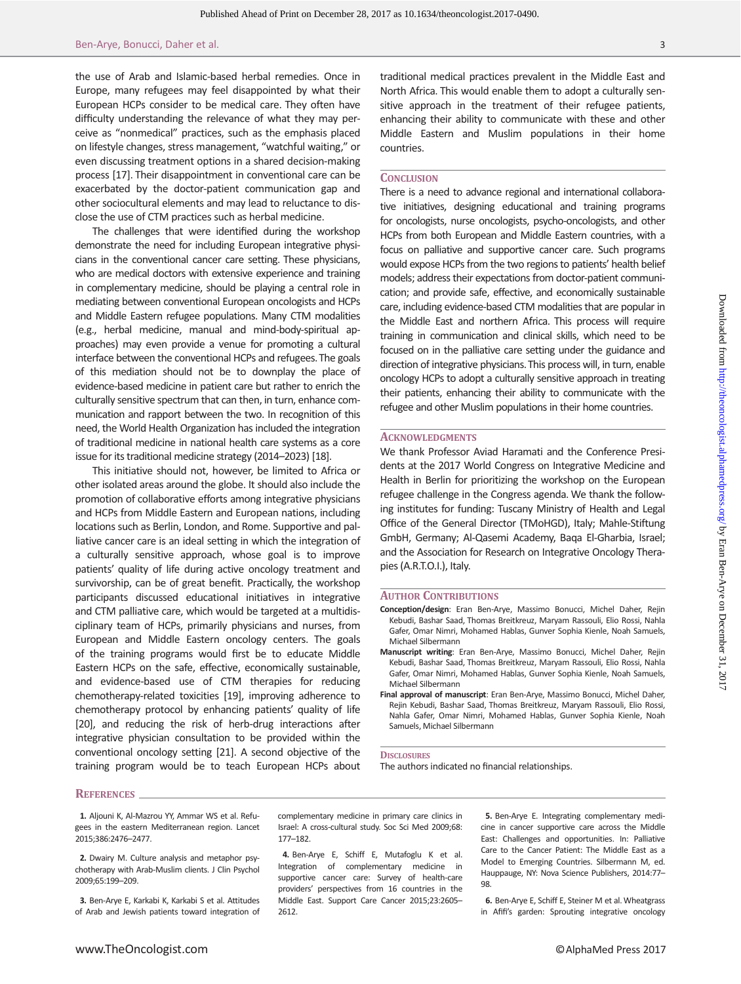the use of Arab and Islamic-based herbal remedies. Once in Europe, many refugees may feel disappointed by what their European HCPs consider to be medical care. They often have difficulty understanding the relevance of what they may perceive as "nonmedical" practices, such as the emphasis placed on lifestyle changes, stress management, "watchful waiting," or even discussing treatment options in a shared decision-making process [17]. Their disappointment in conventional care can be exacerbated by the doctor-patient communication gap and other sociocultural elements and may lead to reluctance to disclose the use of CTM practices such as herbal medicine.

The challenges that were identified during the workshop demonstrate the need for including European integrative physicians in the conventional cancer care setting. These physicians, who are medical doctors with extensive experience and training in complementary medicine, should be playing a central role in mediating between conventional European oncologists and HCPs and Middle Eastern refugee populations. Many CTM modalities (e.g., herbal medicine, manual and mind-body-spiritual approaches) may even provide a venue for promoting a cultural interface between the conventional HCPs and refugees.The goals of this mediation should not be to downplay the place of evidence-based medicine in patient care but rather to enrich the culturally sensitive spectrum that can then, in turn, enhance communication and rapport between the two. In recognition of this need, the World Health Organization has included the integration of traditional medicine in national health care systems as a core issue for its traditional medicine strategy (2014–2023) [18].

This initiative should not, however, be limited to Africa or other isolated areas around the globe. It should also include the promotion of collaborative efforts among integrative physicians and HCPs from Middle Eastern and European nations, including locations such as Berlin, London, and Rome. Supportive and palliative cancer care is an ideal setting in which the integration of a culturally sensitive approach, whose goal is to improve patients' quality of life during active oncology treatment and survivorship, can be of great benefit. Practically, the workshop participants discussed educational initiatives in integrative and CTM palliative care, which would be targeted at a multidisciplinary team of HCPs, primarily physicians and nurses, from European and Middle Eastern oncology centers. The goals of the training programs would first be to educate Middle Eastern HCPs on the safe, effective, economically sustainable, and evidence-based use of CTM therapies for reducing chemotherapy-related toxicities [19], improving adherence to chemotherapy protocol by enhancing patients' quality of life [20], and reducing the risk of herb-drug interactions after integrative physician consultation to be provided within the conventional oncology setting [21]. A second objective of the training program would be to teach European HCPs about traditional medical practices prevalent in the Middle East and North Africa. This would enable them to adopt a culturally sensitive approach in the treatment of their refugee patients, enhancing their ability to communicate with these and other Middle Eastern and Muslim populations in their home countries.

#### **CONCLUSION**

There is a need to advance regional and international collaborative initiatives, designing educational and training programs for oncologists, nurse oncologists, psycho-oncologists, and other HCPs from both European and Middle Eastern countries, with a focus on palliative and supportive cancer care. Such programs would expose HCPs from the two regions to patients' health belief models; address their expectations from doctor-patient communication; and provide safe, effective, and economically sustainable care, including evidence-based CTM modalities that are popular in the Middle East and northern Africa. This process will require training in communication and clinical skills, which need to be focused on in the palliative care setting under the guidance and direction of integrative physicians.This process will, in turn, enable oncology HCPs to adopt a culturally sensitive approach in treating their patients, enhancing their ability to communicate with the refugee and other Muslim populations in their home countries.

#### **ACKNOWLEDGMENTS**

We thank Professor Aviad Haramati and the Conference Presidents at the 2017 World Congress on Integrative Medicine and Health in Berlin for prioritizing the workshop on the European refugee challenge in the Congress agenda. We thank the following institutes for funding: Tuscany Ministry of Health and Legal Office of the General Director (TMoHGD), Italy; Mahle-Stiftung GmbH, Germany; Al-Qasemi Academy, Baqa El-Gharbia, Israel; and the Association for Research on Integrative Oncology Therapies (A.R.T.O.I.), Italy.

#### AUTHOR CONTRIBUTIONS

- Conception/design: Eran Ben-Arye, Massimo Bonucci, Michel Daher, Rejin Kebudi, Bashar Saad, Thomas Breitkreuz, Maryam Rassouli, Elio Rossi, Nahla Gafer, Omar Nimri, Mohamed Hablas, Gunver Sophia Kienle, Noah Samuels, Michael Silbermann
- Manuscript writing: Eran Ben-Arye, Massimo Bonucci, Michel Daher, Rejin Kebudi, Bashar Saad, Thomas Breitkreuz, Maryam Rassouli, Elio Rossi, Nahla Gafer, Omar Nimri, Mohamed Hablas, Gunver Sophia Kienle, Noah Samuels, Michael Silbermann
- Final approval of manuscript: Eran Ben-Arye, Massimo Bonucci, Michel Daher, Rejin Kebudi, Bashar Saad, Thomas Breitkreuz, Maryam Rassouli, Elio Rossi, Nahla Gafer, Omar Nimri, Mohamed Hablas, Gunver Sophia Kienle, Noah Samuels, Michael Silbermann

#### **DISCLOSURES**

The authors indicated no financial relationships.

#### REFERENCES

1. Aljouni K, Al-Mazrou YY, Ammar WS et al. Refugees in the eastern Mediterranean region. Lancet 2015;386:2476–2477.

2. Dwairy M. Culture analysis and metaphor psychotherapy with Arab-Muslim clients. J Clin Psychol 2009;65:199–209.

3. Ben-Arye E, Karkabi K, Karkabi S et al. Attitudes of Arab and Jewish patients toward integration of

complementary medicine in primary care clinics in Israel: A cross-cultural study. Soc Sci Med 2009;68: 177–182.

4. Ben-Arye E, Schiff E, Mutafoglu K et al. Integration of complementary medicine in supportive cancer care: Survey of health-care providers' perspectives from 16 countries in the Middle East. Support Care Cancer 2015;23:2605– 2612.

5. Ben-Arye E. Integrating complementary medicine in cancer supportive care across the Middle East: Challenges and opportunities. In: Palliative Care to the Cancer Patient: The Middle East as a Model to Emerging Countries. Silbermann M, ed. Hauppauge, NY: Nova Science Publishers, 2014:77– 98.

6. Ben-Arye E, Schiff E, Steiner M et al. Wheatgrass in Afifi's garden: Sprouting integrative oncology